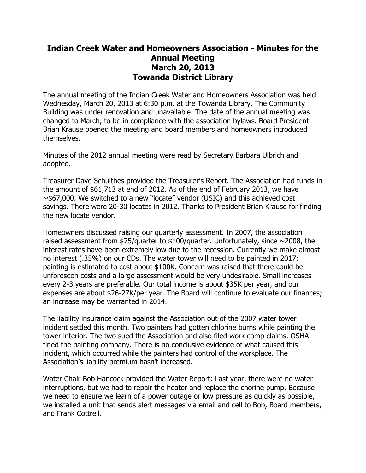## **Indian Creek Water and Homeowners Association - Minutes for the Annual Meeting March 20, 2013 Towanda District Library**

The annual meeting of the Indian Creek Water and Homeowners Association was held Wednesday, March 20, 2013 at 6:30 p.m. at the Towanda Library. The Community Building was under renovation and unavailable. The date of the annual meeting was changed to March, to be in compliance with the association bylaws. Board President Brian Krause opened the meeting and board members and homeowners introduced themselves.

Minutes of the 2012 annual meeting were read by Secretary Barbara Ulbrich and adopted.

Treasurer Dave Schulthes provided the Treasurer's Report. The Association had funds in the amount of \$61,713 at end of 2012. As of the end of February 2013, we have  $\sim$ \$67,000. We switched to a new "locate" vendor (USIC) and this achieved cost savings. There were 20-30 locates in 2012. Thanks to President Brian Krause for finding the new locate vendor.

Homeowners discussed raising our quarterly assessment. In 2007, the association raised assessment from \$75/quarter to \$100/quarter. Unfortunately, since  $\sim$ 2008, the interest rates have been extremely low due to the recession. Currently we make almost no interest (.35%) on our CDs. The water tower will need to be painted in 2017; painting is estimated to cost about \$100K. Concern was raised that there could be unforeseen costs and a large assessment would be very undesirable. Small increases every 2-3 years are preferable. Our total income is about \$35K per year, and our expenses are about \$26-27K/per year. The Board will continue to evaluate our finances; an increase may be warranted in 2014.

The liability insurance claim against the Association out of the 2007 water tower incident settled this month. Two painters had gotten chlorine burns while painting the tower interior. The two sued the Association and also filed work comp claims. OSHA fined the painting company. There is no conclusive evidence of what caused this incident, which occurred while the painters had control of the workplace. The Association's liability premium hasn't increased.

Water Chair Bob Hancock provided the Water Report: Last year, there were no water interruptions, but we had to repair the heater and replace the chorine pump. Because we need to ensure we learn of a power outage or low pressure as quickly as possible, we installed a unit that sends alert messages via email and cell to Bob, Board members, and Frank Cottrell.